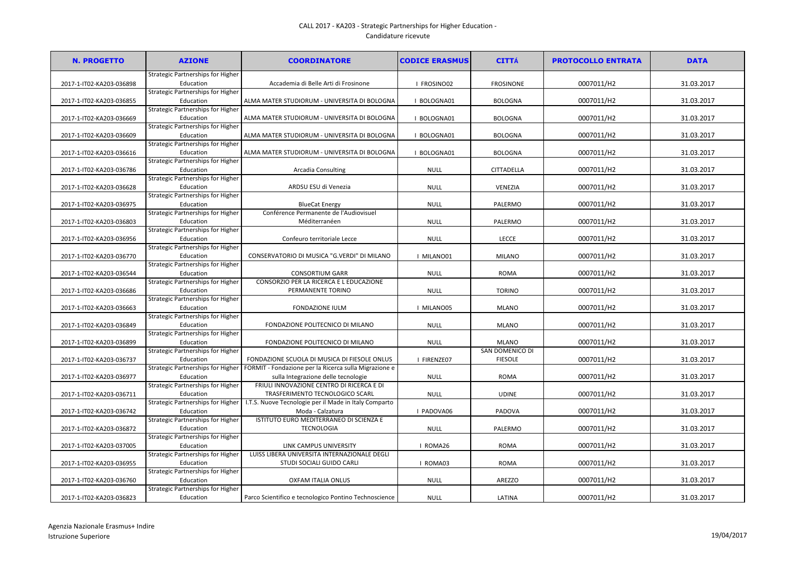## CALL 2017 - KA203 - Strategic Partnerships for Higher Education - Candidature ricevute

| Strategic Partnerships for Higher<br>Education<br>Accademia di Belle Arti di Frosinone<br>I FROSINO02<br><b>FROSINONE</b><br>0007011/H2<br>31.03.2017<br>2017-1-IT02-KA203-036898<br>Strategic Partnerships for Higher<br>0007011/H2<br>31.03.2017<br>2017-1-IT02-KA203-036855<br>Education<br>ALMA MATER STUDIORUM - UNIVERSITA DI BOLOGNA<br>I BOLOGNA01<br><b>BOLOGNA</b><br><b>Strategic Partnerships for Higher</b><br>ALMA MATER STUDIORUM - UNIVERSITA DI BOLOGNA<br>0007011/H2<br>31.03.2017<br>2017-1-IT02-KA203-036669<br>Education<br>I BOLOGNA01<br><b>BOLOGNA</b><br>Strategic Partnerships for Higher<br>0007011/H2<br>Education<br>31.03.2017<br>2017-1-IT02-KA203-036609<br>ALMA MATER STUDIORUM - UNIVERSITA DI BOLOGNA<br>I BOLOGNA01<br><b>BOLOGNA</b><br>Strategic Partnerships for Higher<br>0007011/H2<br>31.03.2017<br>2017-1-IT02-KA203-036616<br>Education<br>ALMA MATER STUDIORUM - UNIVERSITA DI BOLOGNA<br>I BOLOGNA01<br><b>BOLOGNA</b><br>Strategic Partnerships for Higher<br>0007011/H2<br>Education<br><b>Arcadia Consulting</b><br>31.03.2017<br>2017-1-IT02-KA203-036786<br><b>NULL</b><br>CITTADELLA<br>Strategic Partnerships for Higher<br>0007011/H2<br>31.03.2017<br>Education<br>ARDSU ESU di Venezia<br>2017-1-IT02-KA203-036628<br><b>NULL</b><br>VENEZIA<br>Strategic Partnerships for Higher<br><b>NULL</b><br>PALERMO<br>0007011/H2<br>31.03.2017<br>2017-1-IT02-KA203-036975<br>Education<br><b>BlueCat Energy</b><br>Conférence Permanente de l'Audiovisuel<br>Strategic Partnerships for Higher<br>0007011/H2<br>31.03.2017<br>Education<br>Méditerranéen<br><b>NULL</b><br>PALERMO<br>2017-1-IT02-KA203-036803<br>Strategic Partnerships for Higher<br>0007011/H2<br>31.03.2017<br>2017-1-IT02-KA203-036956<br>Education<br>Confeuro territoriale Lecce<br><b>NULL</b><br><b>LECCE</b><br>Strategic Partnerships for Higher<br>0007011/H2<br>31.03.2017<br>2017-1-IT02-KA203-036770<br>Education<br>CONSERVATORIO DI MUSICA "G.VERDI" DI MILANO<br>I MILANO01<br><b>MILANO</b><br>Strategic Partnerships for Higher<br>Education<br><b>CONSORTIUM GARR</b><br>0007011/H2<br>31.03.2017<br>2017-1-IT02-KA203-036544<br><b>NULL</b><br><b>ROMA</b><br><b>Strategic Partnerships for Higher</b><br>CONSORZIO PER LA RICERCA E L EDUCAZIONE<br>0007011/H2<br>31.03.2017<br>Education<br>PERMANENTE TORINO<br><b>NULL</b><br><b>TORINO</b><br>2017-1-IT02-KA203-036686<br><b>Strategic Partnerships for Higher</b><br>0007011/H2<br>31.03.2017<br>Education<br><b>FONDAZIONE IULM</b><br>2017-1-IT02-KA203-036663<br>I MILANO05<br><b>MLANO</b><br>Strategic Partnerships for Higher<br>0007011/H2<br>31.03.2017<br>2017-1-IT02-KA203-036849<br>Education<br>FONDAZIONE POLITECNICO DI MILANO<br><b>NULL</b><br><b>MLANO</b><br><b>Strategic Partnerships for Higher</b><br>0007011/H2<br>31.03.2017<br>Education<br>FONDAZIONE POLITECNICO DI MILANO<br>2017-1-IT02-KA203-036899<br><b>NULL</b><br><b>MLANO</b><br>SAN DOMENICO DI<br>Strategic Partnerships for Higher<br>FONDAZIONE SCUOLA DI MUSICA DI FIESOLE ONLUS<br><b>FIESOLE</b><br>0007011/H2<br>31.03.2017<br>2017-1-IT02-KA203-036737<br>Education<br>I FIRENZE07<br>Strategic Partnerships for Higher<br>FORMIT - Fondazione per la Ricerca sulla Migrazione e<br>31.03.2017<br><b>NULL</b><br><b>ROMA</b><br>0007011/H2<br>2017-1-IT02-KA203-036977<br>Education<br>sulla Integrazione delle tecnologie<br>FRIULI INNOVAZIONE CENTRO DI RICERCA E DI<br>Strategic Partnerships for Higher<br>TRASFERIMENTO TECNOLOGICO SCARL<br>0007011/H2<br>Education<br>31.03.2017<br>2017-1-IT02-KA203-036711<br><b>NULL</b><br><b>UDINE</b><br>Strategic Partnerships for Higher<br>I.T.S. Nuove Tecnologie per il Made in Italy Comparto<br>0007011/H2<br>31.03.2017<br>Education<br>Moda - Calzatura<br>I PADOVA06<br>PADOVA<br>2017-1-IT02-KA203-036742<br>ISTITUTO EURO MEDITERRANEO DI SCIENZA E<br>Strategic Partnerships for Higher<br>0007011/H2<br>31.03.2017<br>2017-1-IT02-KA203-036872<br><b>TECNOLOGIA</b><br><b>NULL</b><br>PALERMO<br>Education<br>Strategic Partnerships for Higher<br>2017-1-IT02-KA203-037005<br>Education<br>LINK CAMPUS UNIVERSITY<br>I ROMA26<br>0007011/H2<br>31.03.2017<br><b>ROMA</b><br>Strategic Partnerships for Higher<br>LUISS LIBERA UNIVERSITA INTERNAZIONALE DEGLI<br>STUDI SOCIALI GUIDO CARLI<br>0007011/H2<br>31.03.2017<br>2017-1-IT02-KA203-036955<br>Education<br>I ROMA03<br><b>ROMA</b><br>Strategic Partnerships for Higher<br>0007011/H2<br>31.03.2017<br>2017-1-IT02-KA203-036760<br>Education<br><b>OXFAM ITALIA ONLUS</b><br><b>NULL</b><br>AREZZO<br>Strategic Partnerships for Higher<br>0007011/H2<br>31.03.2017<br>Education<br><b>NULL</b><br>LATINA<br>2017-1-IT02-KA203-036823<br>Parco Scientifico e tecnologico Pontino Technoscience | <b>N. PROGETTO</b> | <b>AZIONE</b> | <b>COORDINATORE</b> | <b>CODICE ERASMUS</b> | <b>CITTÁ</b> | <b>PROTOCOLLO ENTRATA</b> | <b>DATA</b> |
|--------------------------------------------------------------------------------------------------------------------------------------------------------------------------------------------------------------------------------------------------------------------------------------------------------------------------------------------------------------------------------------------------------------------------------------------------------------------------------------------------------------------------------------------------------------------------------------------------------------------------------------------------------------------------------------------------------------------------------------------------------------------------------------------------------------------------------------------------------------------------------------------------------------------------------------------------------------------------------------------------------------------------------------------------------------------------------------------------------------------------------------------------------------------------------------------------------------------------------------------------------------------------------------------------------------------------------------------------------------------------------------------------------------------------------------------------------------------------------------------------------------------------------------------------------------------------------------------------------------------------------------------------------------------------------------------------------------------------------------------------------------------------------------------------------------------------------------------------------------------------------------------------------------------------------------------------------------------------------------------------------------------------------------------------------------------------------------------------------------------------------------------------------------------------------------------------------------------------------------------------------------------------------------------------------------------------------------------------------------------------------------------------------------------------------------------------------------------------------------------------------------------------------------------------------------------------------------------------------------------------------------------------------------------------------------------------------------------------------------------------------------------------------------------------------------------------------------------------------------------------------------------------------------------------------------------------------------------------------------------------------------------------------------------------------------------------------------------------------------------------------------------------------------------------------------------------------------------------------------------------------------------------------------------------------------------------------------------------------------------------------------------------------------------------------------------------------------------------------------------------------------------------------------------------------------------------------------------------------------------------------------------------------------------------------------------------------------------------------------------------------------------------------------------------------------------------------------------------------------------------------------------------------------------------------------------------------------------------------------------------------------------------------------------------------------------------------------------------------------------------------------------------------------------------------------------------------------------------------------------------------------------------------------------------------------------------------------------------------------------------------------------------------------------------------------------------------------------------------------------------------------------------------------------------------------------------------------------------------------------------------------------------------------------------------------------------------------------------------------------------------------------------------------------------------------|--------------------|---------------|---------------------|-----------------------|--------------|---------------------------|-------------|
|                                                                                                                                                                                                                                                                                                                                                                                                                                                                                                                                                                                                                                                                                                                                                                                                                                                                                                                                                                                                                                                                                                                                                                                                                                                                                                                                                                                                                                                                                                                                                                                                                                                                                                                                                                                                                                                                                                                                                                                                                                                                                                                                                                                                                                                                                                                                                                                                                                                                                                                                                                                                                                                                                                                                                                                                                                                                                                                                                                                                                                                                                                                                                                                                                                                                                                                                                                                                                                                                                                                                                                                                                                                                                                                                                                                                                                                                                                                                                                                                                                                                                                                                                                                                                                                                                                                                                                                                                                                                                                                                                                                                                                                                                                                                                                                                              |                    |               |                     |                       |              |                           |             |
|                                                                                                                                                                                                                                                                                                                                                                                                                                                                                                                                                                                                                                                                                                                                                                                                                                                                                                                                                                                                                                                                                                                                                                                                                                                                                                                                                                                                                                                                                                                                                                                                                                                                                                                                                                                                                                                                                                                                                                                                                                                                                                                                                                                                                                                                                                                                                                                                                                                                                                                                                                                                                                                                                                                                                                                                                                                                                                                                                                                                                                                                                                                                                                                                                                                                                                                                                                                                                                                                                                                                                                                                                                                                                                                                                                                                                                                                                                                                                                                                                                                                                                                                                                                                                                                                                                                                                                                                                                                                                                                                                                                                                                                                                                                                                                                                              |                    |               |                     |                       |              |                           |             |
|                                                                                                                                                                                                                                                                                                                                                                                                                                                                                                                                                                                                                                                                                                                                                                                                                                                                                                                                                                                                                                                                                                                                                                                                                                                                                                                                                                                                                                                                                                                                                                                                                                                                                                                                                                                                                                                                                                                                                                                                                                                                                                                                                                                                                                                                                                                                                                                                                                                                                                                                                                                                                                                                                                                                                                                                                                                                                                                                                                                                                                                                                                                                                                                                                                                                                                                                                                                                                                                                                                                                                                                                                                                                                                                                                                                                                                                                                                                                                                                                                                                                                                                                                                                                                                                                                                                                                                                                                                                                                                                                                                                                                                                                                                                                                                                                              |                    |               |                     |                       |              |                           |             |
|                                                                                                                                                                                                                                                                                                                                                                                                                                                                                                                                                                                                                                                                                                                                                                                                                                                                                                                                                                                                                                                                                                                                                                                                                                                                                                                                                                                                                                                                                                                                                                                                                                                                                                                                                                                                                                                                                                                                                                                                                                                                                                                                                                                                                                                                                                                                                                                                                                                                                                                                                                                                                                                                                                                                                                                                                                                                                                                                                                                                                                                                                                                                                                                                                                                                                                                                                                                                                                                                                                                                                                                                                                                                                                                                                                                                                                                                                                                                                                                                                                                                                                                                                                                                                                                                                                                                                                                                                                                                                                                                                                                                                                                                                                                                                                                                              |                    |               |                     |                       |              |                           |             |
|                                                                                                                                                                                                                                                                                                                                                                                                                                                                                                                                                                                                                                                                                                                                                                                                                                                                                                                                                                                                                                                                                                                                                                                                                                                                                                                                                                                                                                                                                                                                                                                                                                                                                                                                                                                                                                                                                                                                                                                                                                                                                                                                                                                                                                                                                                                                                                                                                                                                                                                                                                                                                                                                                                                                                                                                                                                                                                                                                                                                                                                                                                                                                                                                                                                                                                                                                                                                                                                                                                                                                                                                                                                                                                                                                                                                                                                                                                                                                                                                                                                                                                                                                                                                                                                                                                                                                                                                                                                                                                                                                                                                                                                                                                                                                                                                              |                    |               |                     |                       |              |                           |             |
|                                                                                                                                                                                                                                                                                                                                                                                                                                                                                                                                                                                                                                                                                                                                                                                                                                                                                                                                                                                                                                                                                                                                                                                                                                                                                                                                                                                                                                                                                                                                                                                                                                                                                                                                                                                                                                                                                                                                                                                                                                                                                                                                                                                                                                                                                                                                                                                                                                                                                                                                                                                                                                                                                                                                                                                                                                                                                                                                                                                                                                                                                                                                                                                                                                                                                                                                                                                                                                                                                                                                                                                                                                                                                                                                                                                                                                                                                                                                                                                                                                                                                                                                                                                                                                                                                                                                                                                                                                                                                                                                                                                                                                                                                                                                                                                                              |                    |               |                     |                       |              |                           |             |
|                                                                                                                                                                                                                                                                                                                                                                                                                                                                                                                                                                                                                                                                                                                                                                                                                                                                                                                                                                                                                                                                                                                                                                                                                                                                                                                                                                                                                                                                                                                                                                                                                                                                                                                                                                                                                                                                                                                                                                                                                                                                                                                                                                                                                                                                                                                                                                                                                                                                                                                                                                                                                                                                                                                                                                                                                                                                                                                                                                                                                                                                                                                                                                                                                                                                                                                                                                                                                                                                                                                                                                                                                                                                                                                                                                                                                                                                                                                                                                                                                                                                                                                                                                                                                                                                                                                                                                                                                                                                                                                                                                                                                                                                                                                                                                                                              |                    |               |                     |                       |              |                           |             |
|                                                                                                                                                                                                                                                                                                                                                                                                                                                                                                                                                                                                                                                                                                                                                                                                                                                                                                                                                                                                                                                                                                                                                                                                                                                                                                                                                                                                                                                                                                                                                                                                                                                                                                                                                                                                                                                                                                                                                                                                                                                                                                                                                                                                                                                                                                                                                                                                                                                                                                                                                                                                                                                                                                                                                                                                                                                                                                                                                                                                                                                                                                                                                                                                                                                                                                                                                                                                                                                                                                                                                                                                                                                                                                                                                                                                                                                                                                                                                                                                                                                                                                                                                                                                                                                                                                                                                                                                                                                                                                                                                                                                                                                                                                                                                                                                              |                    |               |                     |                       |              |                           |             |
|                                                                                                                                                                                                                                                                                                                                                                                                                                                                                                                                                                                                                                                                                                                                                                                                                                                                                                                                                                                                                                                                                                                                                                                                                                                                                                                                                                                                                                                                                                                                                                                                                                                                                                                                                                                                                                                                                                                                                                                                                                                                                                                                                                                                                                                                                                                                                                                                                                                                                                                                                                                                                                                                                                                                                                                                                                                                                                                                                                                                                                                                                                                                                                                                                                                                                                                                                                                                                                                                                                                                                                                                                                                                                                                                                                                                                                                                                                                                                                                                                                                                                                                                                                                                                                                                                                                                                                                                                                                                                                                                                                                                                                                                                                                                                                                                              |                    |               |                     |                       |              |                           |             |
|                                                                                                                                                                                                                                                                                                                                                                                                                                                                                                                                                                                                                                                                                                                                                                                                                                                                                                                                                                                                                                                                                                                                                                                                                                                                                                                                                                                                                                                                                                                                                                                                                                                                                                                                                                                                                                                                                                                                                                                                                                                                                                                                                                                                                                                                                                                                                                                                                                                                                                                                                                                                                                                                                                                                                                                                                                                                                                                                                                                                                                                                                                                                                                                                                                                                                                                                                                                                                                                                                                                                                                                                                                                                                                                                                                                                                                                                                                                                                                                                                                                                                                                                                                                                                                                                                                                                                                                                                                                                                                                                                                                                                                                                                                                                                                                                              |                    |               |                     |                       |              |                           |             |
|                                                                                                                                                                                                                                                                                                                                                                                                                                                                                                                                                                                                                                                                                                                                                                                                                                                                                                                                                                                                                                                                                                                                                                                                                                                                                                                                                                                                                                                                                                                                                                                                                                                                                                                                                                                                                                                                                                                                                                                                                                                                                                                                                                                                                                                                                                                                                                                                                                                                                                                                                                                                                                                                                                                                                                                                                                                                                                                                                                                                                                                                                                                                                                                                                                                                                                                                                                                                                                                                                                                                                                                                                                                                                                                                                                                                                                                                                                                                                                                                                                                                                                                                                                                                                                                                                                                                                                                                                                                                                                                                                                                                                                                                                                                                                                                                              |                    |               |                     |                       |              |                           |             |
|                                                                                                                                                                                                                                                                                                                                                                                                                                                                                                                                                                                                                                                                                                                                                                                                                                                                                                                                                                                                                                                                                                                                                                                                                                                                                                                                                                                                                                                                                                                                                                                                                                                                                                                                                                                                                                                                                                                                                                                                                                                                                                                                                                                                                                                                                                                                                                                                                                                                                                                                                                                                                                                                                                                                                                                                                                                                                                                                                                                                                                                                                                                                                                                                                                                                                                                                                                                                                                                                                                                                                                                                                                                                                                                                                                                                                                                                                                                                                                                                                                                                                                                                                                                                                                                                                                                                                                                                                                                                                                                                                                                                                                                                                                                                                                                                              |                    |               |                     |                       |              |                           |             |
|                                                                                                                                                                                                                                                                                                                                                                                                                                                                                                                                                                                                                                                                                                                                                                                                                                                                                                                                                                                                                                                                                                                                                                                                                                                                                                                                                                                                                                                                                                                                                                                                                                                                                                                                                                                                                                                                                                                                                                                                                                                                                                                                                                                                                                                                                                                                                                                                                                                                                                                                                                                                                                                                                                                                                                                                                                                                                                                                                                                                                                                                                                                                                                                                                                                                                                                                                                                                                                                                                                                                                                                                                                                                                                                                                                                                                                                                                                                                                                                                                                                                                                                                                                                                                                                                                                                                                                                                                                                                                                                                                                                                                                                                                                                                                                                                              |                    |               |                     |                       |              |                           |             |
|                                                                                                                                                                                                                                                                                                                                                                                                                                                                                                                                                                                                                                                                                                                                                                                                                                                                                                                                                                                                                                                                                                                                                                                                                                                                                                                                                                                                                                                                                                                                                                                                                                                                                                                                                                                                                                                                                                                                                                                                                                                                                                                                                                                                                                                                                                                                                                                                                                                                                                                                                                                                                                                                                                                                                                                                                                                                                                                                                                                                                                                                                                                                                                                                                                                                                                                                                                                                                                                                                                                                                                                                                                                                                                                                                                                                                                                                                                                                                                                                                                                                                                                                                                                                                                                                                                                                                                                                                                                                                                                                                                                                                                                                                                                                                                                                              |                    |               |                     |                       |              |                           |             |
|                                                                                                                                                                                                                                                                                                                                                                                                                                                                                                                                                                                                                                                                                                                                                                                                                                                                                                                                                                                                                                                                                                                                                                                                                                                                                                                                                                                                                                                                                                                                                                                                                                                                                                                                                                                                                                                                                                                                                                                                                                                                                                                                                                                                                                                                                                                                                                                                                                                                                                                                                                                                                                                                                                                                                                                                                                                                                                                                                                                                                                                                                                                                                                                                                                                                                                                                                                                                                                                                                                                                                                                                                                                                                                                                                                                                                                                                                                                                                                                                                                                                                                                                                                                                                                                                                                                                                                                                                                                                                                                                                                                                                                                                                                                                                                                                              |                    |               |                     |                       |              |                           |             |
|                                                                                                                                                                                                                                                                                                                                                                                                                                                                                                                                                                                                                                                                                                                                                                                                                                                                                                                                                                                                                                                                                                                                                                                                                                                                                                                                                                                                                                                                                                                                                                                                                                                                                                                                                                                                                                                                                                                                                                                                                                                                                                                                                                                                                                                                                                                                                                                                                                                                                                                                                                                                                                                                                                                                                                                                                                                                                                                                                                                                                                                                                                                                                                                                                                                                                                                                                                                                                                                                                                                                                                                                                                                                                                                                                                                                                                                                                                                                                                                                                                                                                                                                                                                                                                                                                                                                                                                                                                                                                                                                                                                                                                                                                                                                                                                                              |                    |               |                     |                       |              |                           |             |
|                                                                                                                                                                                                                                                                                                                                                                                                                                                                                                                                                                                                                                                                                                                                                                                                                                                                                                                                                                                                                                                                                                                                                                                                                                                                                                                                                                                                                                                                                                                                                                                                                                                                                                                                                                                                                                                                                                                                                                                                                                                                                                                                                                                                                                                                                                                                                                                                                                                                                                                                                                                                                                                                                                                                                                                                                                                                                                                                                                                                                                                                                                                                                                                                                                                                                                                                                                                                                                                                                                                                                                                                                                                                                                                                                                                                                                                                                                                                                                                                                                                                                                                                                                                                                                                                                                                                                                                                                                                                                                                                                                                                                                                                                                                                                                                                              |                    |               |                     |                       |              |                           |             |
|                                                                                                                                                                                                                                                                                                                                                                                                                                                                                                                                                                                                                                                                                                                                                                                                                                                                                                                                                                                                                                                                                                                                                                                                                                                                                                                                                                                                                                                                                                                                                                                                                                                                                                                                                                                                                                                                                                                                                                                                                                                                                                                                                                                                                                                                                                                                                                                                                                                                                                                                                                                                                                                                                                                                                                                                                                                                                                                                                                                                                                                                                                                                                                                                                                                                                                                                                                                                                                                                                                                                                                                                                                                                                                                                                                                                                                                                                                                                                                                                                                                                                                                                                                                                                                                                                                                                                                                                                                                                                                                                                                                                                                                                                                                                                                                                              |                    |               |                     |                       |              |                           |             |
|                                                                                                                                                                                                                                                                                                                                                                                                                                                                                                                                                                                                                                                                                                                                                                                                                                                                                                                                                                                                                                                                                                                                                                                                                                                                                                                                                                                                                                                                                                                                                                                                                                                                                                                                                                                                                                                                                                                                                                                                                                                                                                                                                                                                                                                                                                                                                                                                                                                                                                                                                                                                                                                                                                                                                                                                                                                                                                                                                                                                                                                                                                                                                                                                                                                                                                                                                                                                                                                                                                                                                                                                                                                                                                                                                                                                                                                                                                                                                                                                                                                                                                                                                                                                                                                                                                                                                                                                                                                                                                                                                                                                                                                                                                                                                                                                              |                    |               |                     |                       |              |                           |             |
|                                                                                                                                                                                                                                                                                                                                                                                                                                                                                                                                                                                                                                                                                                                                                                                                                                                                                                                                                                                                                                                                                                                                                                                                                                                                                                                                                                                                                                                                                                                                                                                                                                                                                                                                                                                                                                                                                                                                                                                                                                                                                                                                                                                                                                                                                                                                                                                                                                                                                                                                                                                                                                                                                                                                                                                                                                                                                                                                                                                                                                                                                                                                                                                                                                                                                                                                                                                                                                                                                                                                                                                                                                                                                                                                                                                                                                                                                                                                                                                                                                                                                                                                                                                                                                                                                                                                                                                                                                                                                                                                                                                                                                                                                                                                                                                                              |                    |               |                     |                       |              |                           |             |
|                                                                                                                                                                                                                                                                                                                                                                                                                                                                                                                                                                                                                                                                                                                                                                                                                                                                                                                                                                                                                                                                                                                                                                                                                                                                                                                                                                                                                                                                                                                                                                                                                                                                                                                                                                                                                                                                                                                                                                                                                                                                                                                                                                                                                                                                                                                                                                                                                                                                                                                                                                                                                                                                                                                                                                                                                                                                                                                                                                                                                                                                                                                                                                                                                                                                                                                                                                                                                                                                                                                                                                                                                                                                                                                                                                                                                                                                                                                                                                                                                                                                                                                                                                                                                                                                                                                                                                                                                                                                                                                                                                                                                                                                                                                                                                                                              |                    |               |                     |                       |              |                           |             |
|                                                                                                                                                                                                                                                                                                                                                                                                                                                                                                                                                                                                                                                                                                                                                                                                                                                                                                                                                                                                                                                                                                                                                                                                                                                                                                                                                                                                                                                                                                                                                                                                                                                                                                                                                                                                                                                                                                                                                                                                                                                                                                                                                                                                                                                                                                                                                                                                                                                                                                                                                                                                                                                                                                                                                                                                                                                                                                                                                                                                                                                                                                                                                                                                                                                                                                                                                                                                                                                                                                                                                                                                                                                                                                                                                                                                                                                                                                                                                                                                                                                                                                                                                                                                                                                                                                                                                                                                                                                                                                                                                                                                                                                                                                                                                                                                              |                    |               |                     |                       |              |                           |             |
|                                                                                                                                                                                                                                                                                                                                                                                                                                                                                                                                                                                                                                                                                                                                                                                                                                                                                                                                                                                                                                                                                                                                                                                                                                                                                                                                                                                                                                                                                                                                                                                                                                                                                                                                                                                                                                                                                                                                                                                                                                                                                                                                                                                                                                                                                                                                                                                                                                                                                                                                                                                                                                                                                                                                                                                                                                                                                                                                                                                                                                                                                                                                                                                                                                                                                                                                                                                                                                                                                                                                                                                                                                                                                                                                                                                                                                                                                                                                                                                                                                                                                                                                                                                                                                                                                                                                                                                                                                                                                                                                                                                                                                                                                                                                                                                                              |                    |               |                     |                       |              |                           |             |
|                                                                                                                                                                                                                                                                                                                                                                                                                                                                                                                                                                                                                                                                                                                                                                                                                                                                                                                                                                                                                                                                                                                                                                                                                                                                                                                                                                                                                                                                                                                                                                                                                                                                                                                                                                                                                                                                                                                                                                                                                                                                                                                                                                                                                                                                                                                                                                                                                                                                                                                                                                                                                                                                                                                                                                                                                                                                                                                                                                                                                                                                                                                                                                                                                                                                                                                                                                                                                                                                                                                                                                                                                                                                                                                                                                                                                                                                                                                                                                                                                                                                                                                                                                                                                                                                                                                                                                                                                                                                                                                                                                                                                                                                                                                                                                                                              |                    |               |                     |                       |              |                           |             |
|                                                                                                                                                                                                                                                                                                                                                                                                                                                                                                                                                                                                                                                                                                                                                                                                                                                                                                                                                                                                                                                                                                                                                                                                                                                                                                                                                                                                                                                                                                                                                                                                                                                                                                                                                                                                                                                                                                                                                                                                                                                                                                                                                                                                                                                                                                                                                                                                                                                                                                                                                                                                                                                                                                                                                                                                                                                                                                                                                                                                                                                                                                                                                                                                                                                                                                                                                                                                                                                                                                                                                                                                                                                                                                                                                                                                                                                                                                                                                                                                                                                                                                                                                                                                                                                                                                                                                                                                                                                                                                                                                                                                                                                                                                                                                                                                              |                    |               |                     |                       |              |                           |             |
|                                                                                                                                                                                                                                                                                                                                                                                                                                                                                                                                                                                                                                                                                                                                                                                                                                                                                                                                                                                                                                                                                                                                                                                                                                                                                                                                                                                                                                                                                                                                                                                                                                                                                                                                                                                                                                                                                                                                                                                                                                                                                                                                                                                                                                                                                                                                                                                                                                                                                                                                                                                                                                                                                                                                                                                                                                                                                                                                                                                                                                                                                                                                                                                                                                                                                                                                                                                                                                                                                                                                                                                                                                                                                                                                                                                                                                                                                                                                                                                                                                                                                                                                                                                                                                                                                                                                                                                                                                                                                                                                                                                                                                                                                                                                                                                                              |                    |               |                     |                       |              |                           |             |
|                                                                                                                                                                                                                                                                                                                                                                                                                                                                                                                                                                                                                                                                                                                                                                                                                                                                                                                                                                                                                                                                                                                                                                                                                                                                                                                                                                                                                                                                                                                                                                                                                                                                                                                                                                                                                                                                                                                                                                                                                                                                                                                                                                                                                                                                                                                                                                                                                                                                                                                                                                                                                                                                                                                                                                                                                                                                                                                                                                                                                                                                                                                                                                                                                                                                                                                                                                                                                                                                                                                                                                                                                                                                                                                                                                                                                                                                                                                                                                                                                                                                                                                                                                                                                                                                                                                                                                                                                                                                                                                                                                                                                                                                                                                                                                                                              |                    |               |                     |                       |              |                           |             |
|                                                                                                                                                                                                                                                                                                                                                                                                                                                                                                                                                                                                                                                                                                                                                                                                                                                                                                                                                                                                                                                                                                                                                                                                                                                                                                                                                                                                                                                                                                                                                                                                                                                                                                                                                                                                                                                                                                                                                                                                                                                                                                                                                                                                                                                                                                                                                                                                                                                                                                                                                                                                                                                                                                                                                                                                                                                                                                                                                                                                                                                                                                                                                                                                                                                                                                                                                                                                                                                                                                                                                                                                                                                                                                                                                                                                                                                                                                                                                                                                                                                                                                                                                                                                                                                                                                                                                                                                                                                                                                                                                                                                                                                                                                                                                                                                              |                    |               |                     |                       |              |                           |             |
|                                                                                                                                                                                                                                                                                                                                                                                                                                                                                                                                                                                                                                                                                                                                                                                                                                                                                                                                                                                                                                                                                                                                                                                                                                                                                                                                                                                                                                                                                                                                                                                                                                                                                                                                                                                                                                                                                                                                                                                                                                                                                                                                                                                                                                                                                                                                                                                                                                                                                                                                                                                                                                                                                                                                                                                                                                                                                                                                                                                                                                                                                                                                                                                                                                                                                                                                                                                                                                                                                                                                                                                                                                                                                                                                                                                                                                                                                                                                                                                                                                                                                                                                                                                                                                                                                                                                                                                                                                                                                                                                                                                                                                                                                                                                                                                                              |                    |               |                     |                       |              |                           |             |
|                                                                                                                                                                                                                                                                                                                                                                                                                                                                                                                                                                                                                                                                                                                                                                                                                                                                                                                                                                                                                                                                                                                                                                                                                                                                                                                                                                                                                                                                                                                                                                                                                                                                                                                                                                                                                                                                                                                                                                                                                                                                                                                                                                                                                                                                                                                                                                                                                                                                                                                                                                                                                                                                                                                                                                                                                                                                                                                                                                                                                                                                                                                                                                                                                                                                                                                                                                                                                                                                                                                                                                                                                                                                                                                                                                                                                                                                                                                                                                                                                                                                                                                                                                                                                                                                                                                                                                                                                                                                                                                                                                                                                                                                                                                                                                                                              |                    |               |                     |                       |              |                           |             |
|                                                                                                                                                                                                                                                                                                                                                                                                                                                                                                                                                                                                                                                                                                                                                                                                                                                                                                                                                                                                                                                                                                                                                                                                                                                                                                                                                                                                                                                                                                                                                                                                                                                                                                                                                                                                                                                                                                                                                                                                                                                                                                                                                                                                                                                                                                                                                                                                                                                                                                                                                                                                                                                                                                                                                                                                                                                                                                                                                                                                                                                                                                                                                                                                                                                                                                                                                                                                                                                                                                                                                                                                                                                                                                                                                                                                                                                                                                                                                                                                                                                                                                                                                                                                                                                                                                                                                                                                                                                                                                                                                                                                                                                                                                                                                                                                              |                    |               |                     |                       |              |                           |             |
|                                                                                                                                                                                                                                                                                                                                                                                                                                                                                                                                                                                                                                                                                                                                                                                                                                                                                                                                                                                                                                                                                                                                                                                                                                                                                                                                                                                                                                                                                                                                                                                                                                                                                                                                                                                                                                                                                                                                                                                                                                                                                                                                                                                                                                                                                                                                                                                                                                                                                                                                                                                                                                                                                                                                                                                                                                                                                                                                                                                                                                                                                                                                                                                                                                                                                                                                                                                                                                                                                                                                                                                                                                                                                                                                                                                                                                                                                                                                                                                                                                                                                                                                                                                                                                                                                                                                                                                                                                                                                                                                                                                                                                                                                                                                                                                                              |                    |               |                     |                       |              |                           |             |
|                                                                                                                                                                                                                                                                                                                                                                                                                                                                                                                                                                                                                                                                                                                                                                                                                                                                                                                                                                                                                                                                                                                                                                                                                                                                                                                                                                                                                                                                                                                                                                                                                                                                                                                                                                                                                                                                                                                                                                                                                                                                                                                                                                                                                                                                                                                                                                                                                                                                                                                                                                                                                                                                                                                                                                                                                                                                                                                                                                                                                                                                                                                                                                                                                                                                                                                                                                                                                                                                                                                                                                                                                                                                                                                                                                                                                                                                                                                                                                                                                                                                                                                                                                                                                                                                                                                                                                                                                                                                                                                                                                                                                                                                                                                                                                                                              |                    |               |                     |                       |              |                           |             |
|                                                                                                                                                                                                                                                                                                                                                                                                                                                                                                                                                                                                                                                                                                                                                                                                                                                                                                                                                                                                                                                                                                                                                                                                                                                                                                                                                                                                                                                                                                                                                                                                                                                                                                                                                                                                                                                                                                                                                                                                                                                                                                                                                                                                                                                                                                                                                                                                                                                                                                                                                                                                                                                                                                                                                                                                                                                                                                                                                                                                                                                                                                                                                                                                                                                                                                                                                                                                                                                                                                                                                                                                                                                                                                                                                                                                                                                                                                                                                                                                                                                                                                                                                                                                                                                                                                                                                                                                                                                                                                                                                                                                                                                                                                                                                                                                              |                    |               |                     |                       |              |                           |             |
|                                                                                                                                                                                                                                                                                                                                                                                                                                                                                                                                                                                                                                                                                                                                                                                                                                                                                                                                                                                                                                                                                                                                                                                                                                                                                                                                                                                                                                                                                                                                                                                                                                                                                                                                                                                                                                                                                                                                                                                                                                                                                                                                                                                                                                                                                                                                                                                                                                                                                                                                                                                                                                                                                                                                                                                                                                                                                                                                                                                                                                                                                                                                                                                                                                                                                                                                                                                                                                                                                                                                                                                                                                                                                                                                                                                                                                                                                                                                                                                                                                                                                                                                                                                                                                                                                                                                                                                                                                                                                                                                                                                                                                                                                                                                                                                                              |                    |               |                     |                       |              |                           |             |
|                                                                                                                                                                                                                                                                                                                                                                                                                                                                                                                                                                                                                                                                                                                                                                                                                                                                                                                                                                                                                                                                                                                                                                                                                                                                                                                                                                                                                                                                                                                                                                                                                                                                                                                                                                                                                                                                                                                                                                                                                                                                                                                                                                                                                                                                                                                                                                                                                                                                                                                                                                                                                                                                                                                                                                                                                                                                                                                                                                                                                                                                                                                                                                                                                                                                                                                                                                                                                                                                                                                                                                                                                                                                                                                                                                                                                                                                                                                                                                                                                                                                                                                                                                                                                                                                                                                                                                                                                                                                                                                                                                                                                                                                                                                                                                                                              |                    |               |                     |                       |              |                           |             |
|                                                                                                                                                                                                                                                                                                                                                                                                                                                                                                                                                                                                                                                                                                                                                                                                                                                                                                                                                                                                                                                                                                                                                                                                                                                                                                                                                                                                                                                                                                                                                                                                                                                                                                                                                                                                                                                                                                                                                                                                                                                                                                                                                                                                                                                                                                                                                                                                                                                                                                                                                                                                                                                                                                                                                                                                                                                                                                                                                                                                                                                                                                                                                                                                                                                                                                                                                                                                                                                                                                                                                                                                                                                                                                                                                                                                                                                                                                                                                                                                                                                                                                                                                                                                                                                                                                                                                                                                                                                                                                                                                                                                                                                                                                                                                                                                              |                    |               |                     |                       |              |                           |             |
|                                                                                                                                                                                                                                                                                                                                                                                                                                                                                                                                                                                                                                                                                                                                                                                                                                                                                                                                                                                                                                                                                                                                                                                                                                                                                                                                                                                                                                                                                                                                                                                                                                                                                                                                                                                                                                                                                                                                                                                                                                                                                                                                                                                                                                                                                                                                                                                                                                                                                                                                                                                                                                                                                                                                                                                                                                                                                                                                                                                                                                                                                                                                                                                                                                                                                                                                                                                                                                                                                                                                                                                                                                                                                                                                                                                                                                                                                                                                                                                                                                                                                                                                                                                                                                                                                                                                                                                                                                                                                                                                                                                                                                                                                                                                                                                                              |                    |               |                     |                       |              |                           |             |
|                                                                                                                                                                                                                                                                                                                                                                                                                                                                                                                                                                                                                                                                                                                                                                                                                                                                                                                                                                                                                                                                                                                                                                                                                                                                                                                                                                                                                                                                                                                                                                                                                                                                                                                                                                                                                                                                                                                                                                                                                                                                                                                                                                                                                                                                                                                                                                                                                                                                                                                                                                                                                                                                                                                                                                                                                                                                                                                                                                                                                                                                                                                                                                                                                                                                                                                                                                                                                                                                                                                                                                                                                                                                                                                                                                                                                                                                                                                                                                                                                                                                                                                                                                                                                                                                                                                                                                                                                                                                                                                                                                                                                                                                                                                                                                                                              |                    |               |                     |                       |              |                           |             |
|                                                                                                                                                                                                                                                                                                                                                                                                                                                                                                                                                                                                                                                                                                                                                                                                                                                                                                                                                                                                                                                                                                                                                                                                                                                                                                                                                                                                                                                                                                                                                                                                                                                                                                                                                                                                                                                                                                                                                                                                                                                                                                                                                                                                                                                                                                                                                                                                                                                                                                                                                                                                                                                                                                                                                                                                                                                                                                                                                                                                                                                                                                                                                                                                                                                                                                                                                                                                                                                                                                                                                                                                                                                                                                                                                                                                                                                                                                                                                                                                                                                                                                                                                                                                                                                                                                                                                                                                                                                                                                                                                                                                                                                                                                                                                                                                              |                    |               |                     |                       |              |                           |             |
|                                                                                                                                                                                                                                                                                                                                                                                                                                                                                                                                                                                                                                                                                                                                                                                                                                                                                                                                                                                                                                                                                                                                                                                                                                                                                                                                                                                                                                                                                                                                                                                                                                                                                                                                                                                                                                                                                                                                                                                                                                                                                                                                                                                                                                                                                                                                                                                                                                                                                                                                                                                                                                                                                                                                                                                                                                                                                                                                                                                                                                                                                                                                                                                                                                                                                                                                                                                                                                                                                                                                                                                                                                                                                                                                                                                                                                                                                                                                                                                                                                                                                                                                                                                                                                                                                                                                                                                                                                                                                                                                                                                                                                                                                                                                                                                                              |                    |               |                     |                       |              |                           |             |
|                                                                                                                                                                                                                                                                                                                                                                                                                                                                                                                                                                                                                                                                                                                                                                                                                                                                                                                                                                                                                                                                                                                                                                                                                                                                                                                                                                                                                                                                                                                                                                                                                                                                                                                                                                                                                                                                                                                                                                                                                                                                                                                                                                                                                                                                                                                                                                                                                                                                                                                                                                                                                                                                                                                                                                                                                                                                                                                                                                                                                                                                                                                                                                                                                                                                                                                                                                                                                                                                                                                                                                                                                                                                                                                                                                                                                                                                                                                                                                                                                                                                                                                                                                                                                                                                                                                                                                                                                                                                                                                                                                                                                                                                                                                                                                                                              |                    |               |                     |                       |              |                           |             |
|                                                                                                                                                                                                                                                                                                                                                                                                                                                                                                                                                                                                                                                                                                                                                                                                                                                                                                                                                                                                                                                                                                                                                                                                                                                                                                                                                                                                                                                                                                                                                                                                                                                                                                                                                                                                                                                                                                                                                                                                                                                                                                                                                                                                                                                                                                                                                                                                                                                                                                                                                                                                                                                                                                                                                                                                                                                                                                                                                                                                                                                                                                                                                                                                                                                                                                                                                                                                                                                                                                                                                                                                                                                                                                                                                                                                                                                                                                                                                                                                                                                                                                                                                                                                                                                                                                                                                                                                                                                                                                                                                                                                                                                                                                                                                                                                              |                    |               |                     |                       |              |                           |             |
|                                                                                                                                                                                                                                                                                                                                                                                                                                                                                                                                                                                                                                                                                                                                                                                                                                                                                                                                                                                                                                                                                                                                                                                                                                                                                                                                                                                                                                                                                                                                                                                                                                                                                                                                                                                                                                                                                                                                                                                                                                                                                                                                                                                                                                                                                                                                                                                                                                                                                                                                                                                                                                                                                                                                                                                                                                                                                                                                                                                                                                                                                                                                                                                                                                                                                                                                                                                                                                                                                                                                                                                                                                                                                                                                                                                                                                                                                                                                                                                                                                                                                                                                                                                                                                                                                                                                                                                                                                                                                                                                                                                                                                                                                                                                                                                                              |                    |               |                     |                       |              |                           |             |
|                                                                                                                                                                                                                                                                                                                                                                                                                                                                                                                                                                                                                                                                                                                                                                                                                                                                                                                                                                                                                                                                                                                                                                                                                                                                                                                                                                                                                                                                                                                                                                                                                                                                                                                                                                                                                                                                                                                                                                                                                                                                                                                                                                                                                                                                                                                                                                                                                                                                                                                                                                                                                                                                                                                                                                                                                                                                                                                                                                                                                                                                                                                                                                                                                                                                                                                                                                                                                                                                                                                                                                                                                                                                                                                                                                                                                                                                                                                                                                                                                                                                                                                                                                                                                                                                                                                                                                                                                                                                                                                                                                                                                                                                                                                                                                                                              |                    |               |                     |                       |              |                           |             |
|                                                                                                                                                                                                                                                                                                                                                                                                                                                                                                                                                                                                                                                                                                                                                                                                                                                                                                                                                                                                                                                                                                                                                                                                                                                                                                                                                                                                                                                                                                                                                                                                                                                                                                                                                                                                                                                                                                                                                                                                                                                                                                                                                                                                                                                                                                                                                                                                                                                                                                                                                                                                                                                                                                                                                                                                                                                                                                                                                                                                                                                                                                                                                                                                                                                                                                                                                                                                                                                                                                                                                                                                                                                                                                                                                                                                                                                                                                                                                                                                                                                                                                                                                                                                                                                                                                                                                                                                                                                                                                                                                                                                                                                                                                                                                                                                              |                    |               |                     |                       |              |                           |             |
|                                                                                                                                                                                                                                                                                                                                                                                                                                                                                                                                                                                                                                                                                                                                                                                                                                                                                                                                                                                                                                                                                                                                                                                                                                                                                                                                                                                                                                                                                                                                                                                                                                                                                                                                                                                                                                                                                                                                                                                                                                                                                                                                                                                                                                                                                                                                                                                                                                                                                                                                                                                                                                                                                                                                                                                                                                                                                                                                                                                                                                                                                                                                                                                                                                                                                                                                                                                                                                                                                                                                                                                                                                                                                                                                                                                                                                                                                                                                                                                                                                                                                                                                                                                                                                                                                                                                                                                                                                                                                                                                                                                                                                                                                                                                                                                                              |                    |               |                     |                       |              |                           |             |
|                                                                                                                                                                                                                                                                                                                                                                                                                                                                                                                                                                                                                                                                                                                                                                                                                                                                                                                                                                                                                                                                                                                                                                                                                                                                                                                                                                                                                                                                                                                                                                                                                                                                                                                                                                                                                                                                                                                                                                                                                                                                                                                                                                                                                                                                                                                                                                                                                                                                                                                                                                                                                                                                                                                                                                                                                                                                                                                                                                                                                                                                                                                                                                                                                                                                                                                                                                                                                                                                                                                                                                                                                                                                                                                                                                                                                                                                                                                                                                                                                                                                                                                                                                                                                                                                                                                                                                                                                                                                                                                                                                                                                                                                                                                                                                                                              |                    |               |                     |                       |              |                           |             |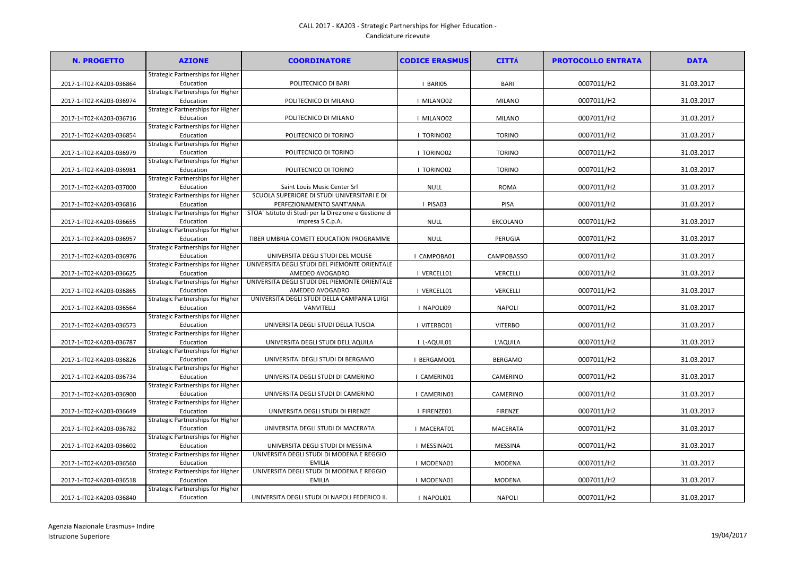## CALL 2017 - KA203 - Strategic Partnerships for Higher Education - Candidature ricevute

| <b>N. PROGETTO</b>       | <b>AZIONE</b>                                  | <b>COORDINATORE</b>                                                            | <b>CODICE ERASMUS</b> | <b>CITTÁ</b>      | <b>PROTOCOLLO ENTRATA</b> | <b>DATA</b> |
|--------------------------|------------------------------------------------|--------------------------------------------------------------------------------|-----------------------|-------------------|---------------------------|-------------|
|                          | Strategic Partnerships for Higher              |                                                                                |                       |                   |                           |             |
| 2017-1-IT02-KA203-036864 | Education                                      | POLITECNICO DI BARI                                                            | I BARIO5              | BARI              | 0007011/H2                | 31.03.2017  |
|                          | Strategic Partnerships for Higher              |                                                                                |                       |                   |                           |             |
| 2017-1-IT02-KA203-036974 | Education                                      | POLITECNICO DI MILANO                                                          | I MILANO02            | <b>MILANO</b>     | 0007011/H2                | 31.03.2017  |
|                          | Strategic Partnerships for Higher              |                                                                                |                       |                   |                           |             |
| 2017-1-IT02-KA203-036716 | Education                                      | POLITECNICO DI MILANO                                                          | I MILANO02            | <b>MILANO</b>     | 0007011/H2                | 31.03.2017  |
|                          | Strategic Partnerships for Higher              |                                                                                |                       |                   |                           |             |
| 2017-1-IT02-KA203-036854 | Education                                      | POLITECNICO DI TORINO                                                          | I TORINO02            | <b>TORINO</b>     | 0007011/H2                | 31.03.2017  |
|                          | Strategic Partnerships for Higher              |                                                                                |                       |                   |                           |             |
| 2017-1-IT02-KA203-036979 | Education                                      | POLITECNICO DI TORINO                                                          | I TORINO02            | <b>TORINO</b>     | 0007011/H2                | 31.03.2017  |
|                          | Strategic Partnerships for Higher              |                                                                                |                       |                   |                           |             |
| 2017-1-IT02-KA203-036981 | Education                                      | POLITECNICO DI TORINO                                                          | I TORINO02            | <b>TORINO</b>     | 0007011/H2                | 31.03.2017  |
|                          | Strategic Partnerships for Higher              |                                                                                |                       |                   |                           |             |
| 2017-1-IT02-KA203-037000 | Education                                      | Saint Louis Music Center Srl                                                   | <b>NULL</b>           | <b>ROMA</b>       | 0007011/H2                | 31.03.2017  |
|                          | Strategic Partnerships for Higher              | SCUOLA SUPERIORE DI STUDI UNIVERSITARI E DI                                    |                       |                   |                           |             |
| 2017-1-IT02-KA203-036816 | Education                                      | PERFEZIONAMENTO SANT'ANNA                                                      | I PISA03              | <b>PISA</b>       | 0007011/H2                | 31.03.2017  |
|                          | <b>Strategic Partnerships for Higher</b>       | STOA' Istituto di Studi per la Direzione e Gestione di                         |                       |                   |                           |             |
| 2017-1-IT02-KA203-036655 | Education                                      | Impresa S.C.p.A.                                                               | <b>NULL</b>           | ERCOLANO          | 0007011/H2                | 31.03.2017  |
|                          | <b>Strategic Partnerships for Higher</b>       |                                                                                |                       |                   |                           |             |
| 2017-1-IT02-KA203-036957 | Education                                      | TIBER UMBRIA COMETT EDUCATION PROGRAMME                                        | <b>NULL</b>           | PERUGIA           | 0007011/H2                | 31.03.2017  |
|                          | Strategic Partnerships for Higher              |                                                                                |                       |                   |                           |             |
| 2017-1-IT02-KA203-036976 | Education                                      | UNIVERSITA DEGLI STUDI DEL MOLISE                                              | I CAMPOBA01           | <b>CAMPOBASSO</b> | 0007011/H2                | 31.03.2017  |
|                          | <b>Strategic Partnerships for Higher</b>       | UNIVERSITA DEGLI STUDI DEL PIEMONTE ORIENTALE                                  |                       |                   |                           |             |
| 2017-1-IT02-KA203-036625 | Education                                      | AMEDEO AVOGADRO                                                                | I VERCELL01           | VERCELLI          | 0007011/H2                | 31.03.2017  |
|                          | <b>Strategic Partnerships for Higher</b>       | UNIVERSITA DEGLI STUDI DEL PIEMONTE ORIENTALE                                  |                       |                   |                           |             |
| 2017-1-IT02-KA203-036865 | Education                                      | AMEDEO AVOGADRO                                                                | I VERCELL01           | VERCELLI          | 0007011/H2                | 31.03.2017  |
|                          | Strategic Partnerships for Higher              | UNIVERSITA DEGLI STUDI DELLA CAMPANIA LUIGI                                    |                       |                   |                           |             |
| 2017-1-IT02-KA203-036564 | Education                                      | VANVITELLI                                                                     | I NAPOLI09            | <b>NAPOLI</b>     | 0007011/H2                | 31.03.2017  |
|                          | Strategic Partnerships for Higher              |                                                                                |                       |                   |                           |             |
| 2017-1-IT02-KA203-036573 | Education                                      | UNIVERSITA DEGLI STUDI DELLA TUSCIA                                            | I VITERBO01           | <b>VITERBO</b>    | 0007011/H2                | 31.03.2017  |
|                          | Strategic Partnerships for Higher              |                                                                                |                       |                   |                           |             |
| 2017-1-IT02-KA203-036787 | Education                                      | UNIVERSITA DEGLI STUDI DELL'AQUILA                                             | I L-AQUIL01           | L'AQUILA          | 0007011/H2                | 31.03.2017  |
|                          | Strategic Partnerships for Higher              |                                                                                |                       |                   |                           |             |
| 2017-1-IT02-KA203-036826 | Education                                      | UNIVERSITA' DEGLI STUDI DI BERGAMO                                             | I BERGAMO01           | <b>BERGAMO</b>    | 0007011/H2                | 31.03.2017  |
|                          | Strategic Partnerships for Higher              |                                                                                |                       |                   |                           |             |
| 2017-1-IT02-KA203-036734 | Education                                      | UNIVERSITA DEGLI STUDI DI CAMERINO                                             | I CAMERIN01           | CAMERINO          | 0007011/H2                | 31.03.2017  |
|                          | <b>Strategic Partnerships for Higher</b>       |                                                                                |                       |                   |                           |             |
| 2017-1-IT02-KA203-036900 | Education                                      | UNIVERSITA DEGLI STUDI DI CAMERINO                                             | I CAMERIN01           | CAMERINO          | 0007011/H2                | 31.03.2017  |
|                          | Strategic Partnerships for Higher              |                                                                                |                       |                   |                           |             |
| 2017-1-IT02-KA203-036649 | Education                                      | UNIVERSITA DEGLI STUDI DI FIRENZE                                              | I FIRENZE01           | <b>FIRENZE</b>    | 0007011/H2                | 31.03.2017  |
|                          | <b>Strategic Partnerships for Higher</b>       |                                                                                |                       |                   |                           |             |
| 2017-1-IT02-KA203-036782 | Education                                      | UNIVERSITA DEGLI STUDI DI MACERATA                                             | I MACERAT01           | <b>MACERATA</b>   | 0007011/H2                | 31.03.2017  |
|                          | Strategic Partnerships for Higher              |                                                                                |                       |                   |                           |             |
| 2017-1-IT02-KA203-036602 | Education                                      | UNIVERSITA DEGLI STUDI DI MESSINA<br>UNIVERSITA DEGLI STUDI DI MODENA E REGGIO | I MESSINA01           | <b>MESSINA</b>    | 0007011/H2                | 31.03.2017  |
|                          | Strategic Partnerships for Higher              |                                                                                |                       |                   |                           |             |
| 2017-1-IT02-KA203-036560 | Education                                      | <b>EMILIA</b>                                                                  | I MODENA01            | <b>MODENA</b>     | 0007011/H2                | 31.03.2017  |
|                          | Strategic Partnerships for Higher              | UNIVERSITA DEGLI STUDI DI MODENA E REGGIO<br><b>EMILIA</b>                     | I MODENA01            | MODENA            | 0007011/H2                | 31.03.2017  |
| 2017-1-IT02-KA203-036518 | Education<br>Strategic Partnerships for Higher |                                                                                |                       |                   |                           |             |
| 2017-1-IT02-KA203-036840 | Education                                      | UNIVERSITA DEGLI STUDI DI NAPOLI FEDERICO II.                                  | I NAPOLI01            | <b>NAPOLI</b>     | 0007011/H2                | 31.03.2017  |
|                          |                                                |                                                                                |                       |                   |                           |             |